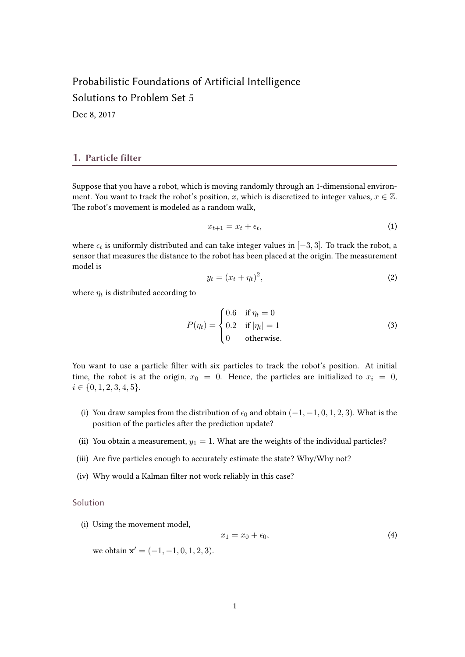# Probabilistic Foundations of Artificial Intelligence Solutions to Problem Set 5

Dec 8, 2017

#### 1. Particle filter

Suppose that you have a robot, which is moving randomly through an 1-dimensional environment. You want to track the robot's position, x, which is discretized to integer values,  $x \in \mathbb{Z}$ . The robot's movement is modeled as a random walk,

$$
x_{t+1} = x_t + \epsilon_t,\tag{1}
$$

where  $\epsilon_t$  is uniformly distributed and can take integer values in  $[-3,3].$  To track the robot, a sensor that measures the distance to the robot has been placed at the origin. The measurement model is

$$
y_t = (x_t + \eta_t)^2,\tag{2}
$$

where  $\eta_t$  is distributed according to

$$
P(\eta_t) = \begin{cases} 0.6 & \text{if } \eta_t = 0 \\ 0.2 & \text{if } |\eta_t| = 1 \\ 0 & \text{otherwise.} \end{cases}
$$
 (3)

You want to use a particle filter with six particles to track the robot's position. At initial time, the robot is at the origin,  $x_0 = 0$ . Hence, the particles are initialized to  $x_i = 0$ ,  $i \in \{0, 1, 2, 3, 4, 5\}.$ 

- (i) You draw samples from the distribution of  $\epsilon_0$  and obtain  $(-1, -1, 0, 1, 2, 3)$ . What is the position of the particles after the prediction update?
- (ii) You obtain a measurement,  $y_1 = 1$ . What are the weights of the individual particles?
- (iii) Are five particles enough to accurately estimate the state? Why/Why not?
- (iv) Why would a Kalman filter not work reliably in this case?

#### Solution

(i) Using the movement model,

$$
x_1 = x_0 + \epsilon_0,\tag{4}
$$

we obtain  $\mathbf{x}' = (-1, -1, 0, 1, 2, 3)$ .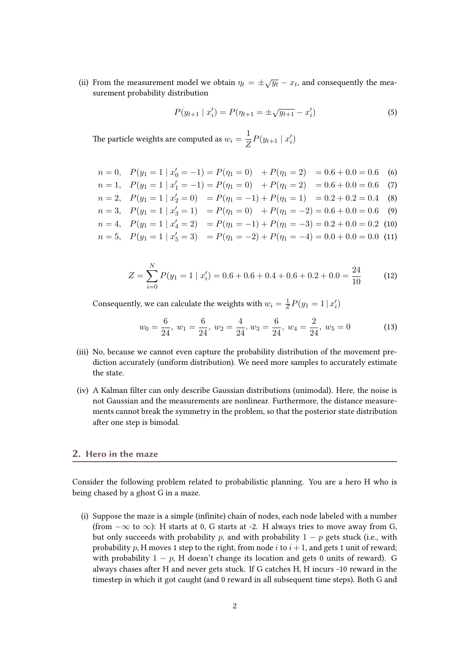(ii) From the measurement model we obtain  $\eta_t = \pm \sqrt{y_t} - x_t$ , and consequently the measurement probability distribution

$$
P(y_{t+1} | x'_i) = P(\eta_{t+1} = \pm \sqrt{y_{t+1}} - x'_i)
$$
\n(5)

The particle weights are computed as  $w_i = \frac{1}{Z}$  $\frac{1}{Z}P(y_{t+1} | x'_i)$ 

 $n = 0,$   $P(y_1 = 1 | x'_0 = -1) = P(\eta_1 = 0) + P(\eta_1 = 2) = 0.6 + 0.0 = 0.6$  (6)  $n = 1,$   $P(y_1 = 1 | x_1' = -1) = P(\eta_1 = 0) + P(\eta_1 = 2) = 0.6 + 0.0 = 0.6$  (7)  $n = 2, \quad P(y_1 = 1 \mid x_2' = 0) = P(\eta_1 = -1) + P(\eta_1 = 1) = 0.2 + 0.2 = 0.4$  (8)  $n = 3$ ,  $P(y_1 = 1 | x_3' = 1) = P(\eta_1 = 0) + P(\eta_1 = -2) = 0.6 + 0.0 = 0.6$  (9)  $n = 4$ ,  $P(y_1 = 1 | x_4' = 2) = P(\eta_1 = -1) + P(\eta_1 = -3) = 0.2 + 0.0 = 0.2$  (10)  $n = 5$ ,  $P(y_1 = 1 | x_5' = 3) = P(\eta_1 = -2) + P(\eta_1 = -4) = 0.0 + 0.0 = 0.0$  (11)

$$
Z = \sum_{i=0}^{N} P(y_1 = 1 \mid x'_i) = 0.6 + 0.6 + 0.4 + 0.6 + 0.2 + 0.0 = \frac{24}{10}
$$
 (12)

Consequently, we can calculate the weights with  $w_i = \frac{1}{Z}$  $\frac{1}{Z}P(y_1 = 1 | x'_i)$ 

$$
w_0 = \frac{6}{24}, \ w_1 = \frac{6}{24}, \ w_2 = \frac{4}{24}. \ w_3 = \frac{6}{24}, \ w_4 = \frac{2}{24}, \ w_5 = 0 \tag{13}
$$

- (iii) No, because we cannot even capture the probability distribution of the movement prediction accurately (uniform distribution). We need more samples to accurately estimate the state.
- (iv) A Kalman filter can only describe Gaussian distributions (unimodal). Here, the noise is not Gaussian and the measurements are nonlinear. Furthermore, the distance measurements cannot break the symmetry in the problem, so that the posterior state distribution after one step is bimodal.

## 2. Hero in the maze

Consider the following problem related to probabilistic planning. You are a hero H who is being chased by a ghost G in a maze.

(i) Suppose the maze is a simple (infinite) chain of nodes, each node labeled with a number (from  $-\infty$  to  $\infty$ ): H starts at 0, G starts at -2. H always tries to move away from G, but only succeeds with probability p, and with probability  $1 - p$  gets stuck (i.e., with probability p, H moves 1 step to the right, from node i to  $i+1$ , and gets 1 unit of reward; with probability  $1 - p$ , H doesn't change its location and gets 0 units of reward). G always chases after H and never gets stuck. If G catches H, H incurs -10 reward in the timestep in which it got caught (and 0 reward in all subsequent time steps). Both G and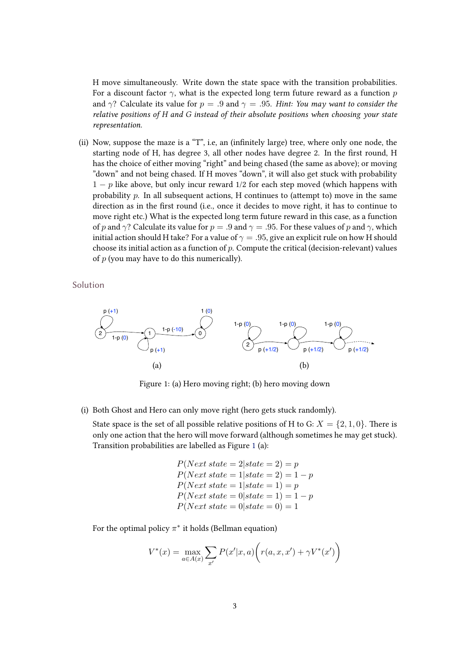<span id="page-2-0"></span>H move simultaneously. Write down the state space with the transition probabilities. For a discount factor  $\gamma$ , what is the expected long term future reward as a function p and  $\gamma$ ? Calculate its value for  $p = .9$  and  $\gamma = .95$ . Hint: You may want to consider the relative positions of H and G instead of their absolute positions when choosing your state representation.

(ii) Now, suppose the maze is a "T", i.e. an (infinitely large) tree, where only one node, the starting node of H, has degree 3, all other nodes have degree 2. In the first round, H has the choice of either moving "right" and being chased (the same as above); or moving "down" and not being chased. If H moves "down", it will also get stuck with probability  $1 - p$  like above, but only incur reward 1/2 for each step moved (which happens with probability  $p$ . In all subsequent actions, H continues to (attempt to) move in the same direction as in the first round (i.e., once it decides to move right, it has to continue to move right etc.) What is the expected long term future reward in this case, as a function of p and  $\gamma$ ? Calculate its value for  $p = .9$  and  $\gamma = .95$ . For these values of p and  $\gamma$ , which initial action should H take? For a value of  $\gamma = .95$ , give an explicit rule on how H should choose its initial action as a function of  $p$ . Compute the critical (decision-relevant) values of  $p$  (you may have to do this numerically).

Solution



Figure 1: (a) Hero moving right; (b) hero moving down

(i) Both Ghost and Hero can only move right (hero gets stuck randomly).

State space is the set of all possible relative positions of H to G:  $X = \{2, 1, 0\}$ . There is only one action that the hero will move forward (although sometimes he may get stuck). Transition probabilities are labelled as Figure 1 (a):

> $P(Next state = 2|state = 2) = p$  $P(Next state = 1|state = 2) = 1 - p$  $P(Next state = 1|state = 1) = p$  $P(Next state = 0|state = 1) = 1 - p$  $P(Next state = 0|state = 0) = 1$

For the optimal policy  $\pi^*$  it holds (Bellman equation)

$$
V^*(x) = \max_{a \in A(x)} \sum_{x'} P(x'|x, a) \bigg( r(a, x, x') + \gamma V^*(x') \bigg)
$$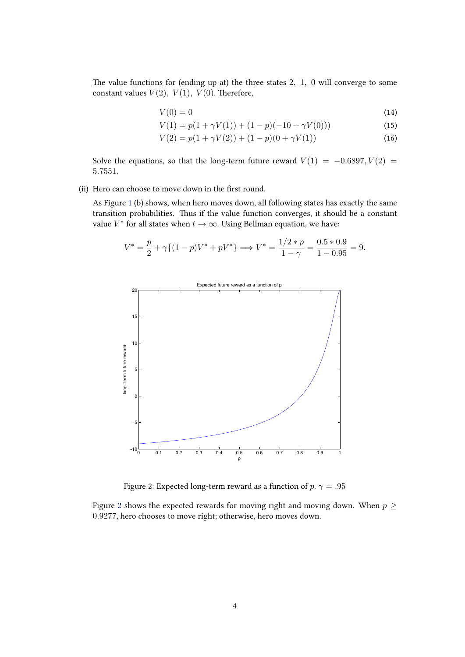The value functions for (ending up at) the three states  $2, 1, 0$  will converge to some constant values  $V(2)$ ,  $V(1)$ ,  $V(0)$ . Therefore,

$$
V(0) = 0 \tag{14}
$$

$$
V(1) = p(1 + \gamma V(1)) + (1 - p)(-10 + \gamma V(0)))
$$
\n(15)

$$
V(2) = p(1 + \gamma V(2)) + (1 - p)(0 + \gamma V(1))
$$
\n(16)

Solve the equations, so that the long-term future reward  $V(1) = -0.6897, V(2) =$ 5.7551.

(ii) Hero can choose to move down in the first round.

As Figure [1](#page-2-0) (b) shows, when hero moves down, all following states has exactly the same transition probabilities. Thus if the value function converges, it should be a constant value  $V^*$  for all states when  $t \to \infty$ . Using Bellman equation, we have:

$$
V^* = \frac{p}{2} + \gamma \{(1 - p)V^* + pV^*\} \Longrightarrow V^* = \frac{1/2 * p}{1 - \gamma} = \frac{0.5 * 0.9}{1 - 0.95} = 9.
$$



Figure 2: Expected long-term reward as a function of  $p.$   $\gamma = .95$ 

Figure 2 shows the expected rewards for moving right and moving down. When  $p \geq$ 0.9277, hero chooses to move right; otherwise, hero moves down.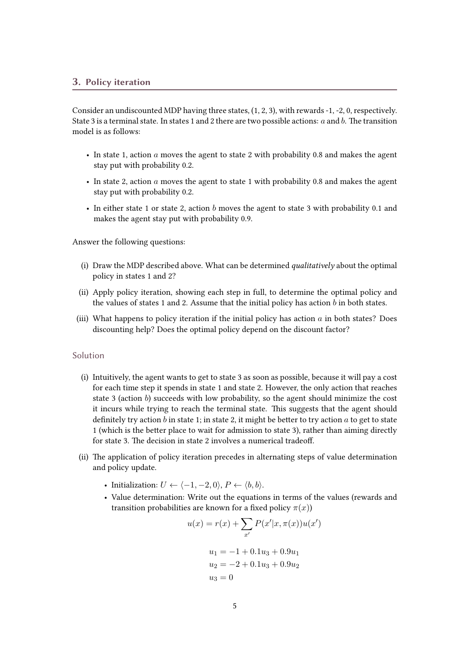Consider an undiscounted MDP having three states, (1, 2, 3), with rewards -1, -2, 0, respectively. State 3 is a terminal state. In states 1 and 2 there are two possible actions:  $a$  and  $b$ . The transition model is as follows:

- In state 1, action a moves the agent to state 2 with probability 0.8 and makes the agent stay put with probability 0.2.
- In state 2, action a moves the agent to state 1 with probability 0.8 and makes the agent stay put with probability 0.2.
- In either state 1 or state 2, action b moves the agent to state 3 with probability 0.1 and makes the agent stay put with probability 0.9.

Answer the following questions:

- (i) Draw the MDP described above. What can be determined qualitatively about the optimal policy in states 1 and 2?
- (ii) Apply policy iteration, showing each step in full, to determine the optimal policy and the values of states 1 and 2. Assume that the initial policy has action  $b$  in both states.
- (iii) What happens to policy iteration if the initial policy has action  $a$  in both states? Does discounting help? Does the optimal policy depend on the discount factor?

## Solution

- (i) Intuitively, the agent wants to get to state 3 as soon as possible, because it will pay a cost for each time step it spends in state 1 and state 2. However, the only action that reaches state 3 (action  $b$ ) succeeds with low probability, so the agent should minimize the cost it incurs while trying to reach the terminal state. This suggests that the agent should definitely try action b in state 1; in state 2, it might be better to try action a to get to state 1 (which is the better place to wait for admission to state 3), rather than aiming directly for state 3. The decision in state 2 involves a numerical tradeoff.
- (ii) The application of policy iteration precedes in alternating steps of value determination and policy update.
	- Initialization:  $U \leftarrow \langle -1, -2, 0 \rangle, P \leftarrow \langle b, b \rangle.$
	- Value determination: Write out the equations in terms of the values (rewards and transition probabilities are known for a fixed policy  $\pi(x)$ )

$$
u(x) = r(x) + \sum_{x'} P(x'|x, \pi(x))u(x')
$$
  

$$
u_1 = -1 + 0.1u_3 + 0.9u_1
$$
  

$$
u_2 = -2 + 0.1u_3 + 0.9u_2
$$
  

$$
u_3 = 0
$$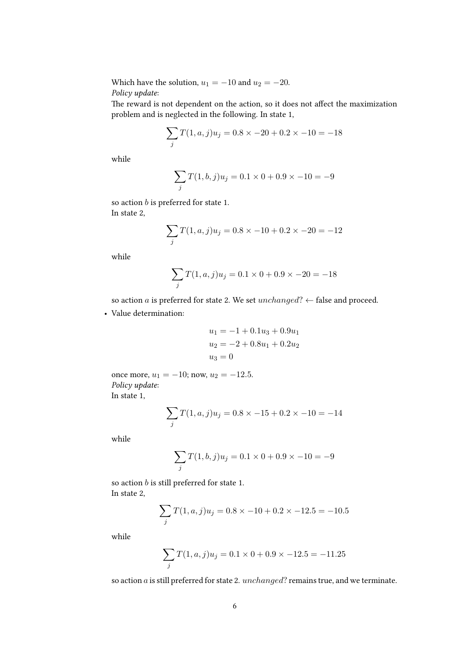Which have the solution,  $u_1 = -10$  and  $u_2 = -20$ . Policy update:

The reward is not dependent on the action, so it does not affect the maximization problem and is neglected in the following. In state 1,

$$
\sum_{j} T(1, a, j)u_j = 0.8 \times -20 + 0.2 \times -10 = -18
$$

while

$$
\sum_{j} T(1, b, j) u_j = 0.1 \times 0 + 0.9 \times -10 = -9
$$

so action  $b$  is preferred for state 1. In state 2,

$$
\sum_{j} T(1, a, j)u_j = 0.8 \times -10 + 0.2 \times -20 = -12
$$

while

$$
\sum_{j} T(1, a, j)u_j = 0.1 \times 0 + 0.9 \times -20 = -18
$$

so action a is preferred for state 2. We set  $unchanged$ ?  $\leftarrow$  false and proceed.

• Value determination:

$$
u_1 = -1 + 0.1u_3 + 0.9u_1
$$
  

$$
u_2 = -2 + 0.8u_1 + 0.2u_2
$$
  

$$
u_3 = 0
$$

once more,  $u_1 = -10$ ; now,  $u_2 = -12.5$ . Policy update: In state 1,

$$
\sum_{j} T(1, a, j)u_j = 0.8 \times -15 + 0.2 \times -10 = -14
$$

while

$$
\sum_{j} T(1, b, j) u_j = 0.1 \times 0 + 0.9 \times -10 = -9
$$

so action  $b$  is still preferred for state 1. In state 2,

$$
\sum_{j} T(1, a, j)u_j = 0.8 \times -10 + 0.2 \times -12.5 = -10.5
$$

while

$$
\sum_{j} T(1, a, j)u_j = 0.1 \times 0 + 0.9 \times -12.5 = -11.25
$$

so action  $a$  is still preferred for state 2.  $unchanged$ ? remains true, and we terminate.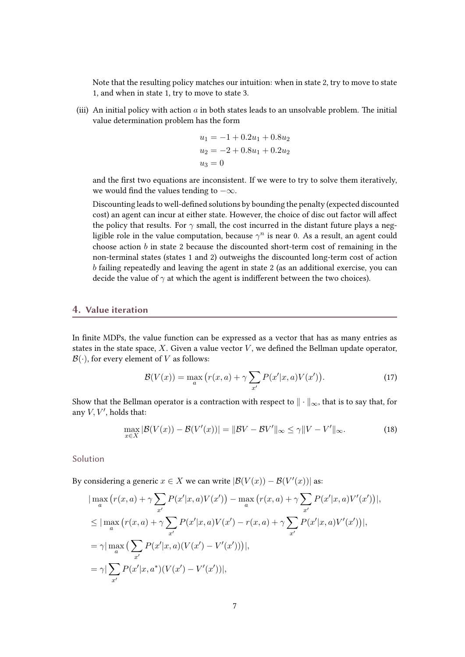Note that the resulting policy matches our intuition: when in state 2, try to move to state 1, and when in state 1, try to move to state 3.

(iii) An initial policy with action  $a$  in both states leads to an unsolvable problem. The initial value determination problem has the form

$$
u_1 = -1 + 0.2u_1 + 0.8u_2
$$
  

$$
u_2 = -2 + 0.8u_1 + 0.2u_2
$$
  

$$
u_3 = 0
$$

and the first two equations are inconsistent. If we were to try to solve them iteratively, we would find the values tending to  $-\infty$ .

Discounting leads to well-defined solutions by bounding the penalty (expected discounted cost) an agent can incur at either state. However, the choice of disc out factor will affect the policy that results. For  $\gamma$  small, the cost incurred in the distant future plays a negligible role in the value computation, because  $\gamma^n$  is near 0. As a result, an agent could choose action  $b$  in state 2 because the discounted short-term cost of remaining in the non-terminal states (states 1 and 2) outweighs the discounted long-term cost of action b failing repeatedly and leaving the agent in state 2 (as an additional exercise, you can decide the value of  $\gamma$  at which the agent is indifferent between the two choices).

## 4. Value iteration

In finite MDPs, the value function can be expressed as a vector that has as many entries as states in the state space,  $X$ . Given a value vector  $V$ , we defined the Bellman update operator,  $\mathcal{B}(\cdot)$ , for every element of V as follows:

$$
\mathcal{B}(V(x)) = \max_{a} \left( r(x, a) + \gamma \sum_{x'} P(x'|x, a) V(x') \right). \tag{17}
$$

Show that the Bellman operator is a contraction with respect to  $\|\cdot\|_{\infty}$ , that is to say that, for any  $V, V'$ , holds that:

$$
\max_{x \in X} |\mathcal{B}(V(x)) - \mathcal{B}(V'(x))| = ||\mathcal{B}V - \mathcal{B}V'||_{\infty} \le \gamma ||V - V'||_{\infty}.
$$
\n(18)

Solution

By considering a generic  $x \in X$  we can write  $|\mathcal{B}(V(x)) - \mathcal{B}(V'(x))|$  as:

$$
\begin{split}\n&\lim_{a} \left( r(x,a) + \gamma \sum_{x'} P(x'|x,a)V(x') \right) - \max_{a} \left( r(x,a) + \gamma \sum_{x'} P(x'|x,a)V'(x') \right), \\
&\leq |\max_{a} \left( r(x,a) + \gamma \sum_{x'} P(x'|x,a)V(x') - r(x,a) + \gamma \sum_{x'} P(x'|x,a)V'(x') \right), \\
&= \gamma |\max_{a} \left( \sum_{x'} P(x'|x,a)(V(x') - V'(x')) \right), \\
&= \gamma |\sum_{x'} P(x'|x,a^*)(V(x') - V'(x'))|,\n\end{split}
$$